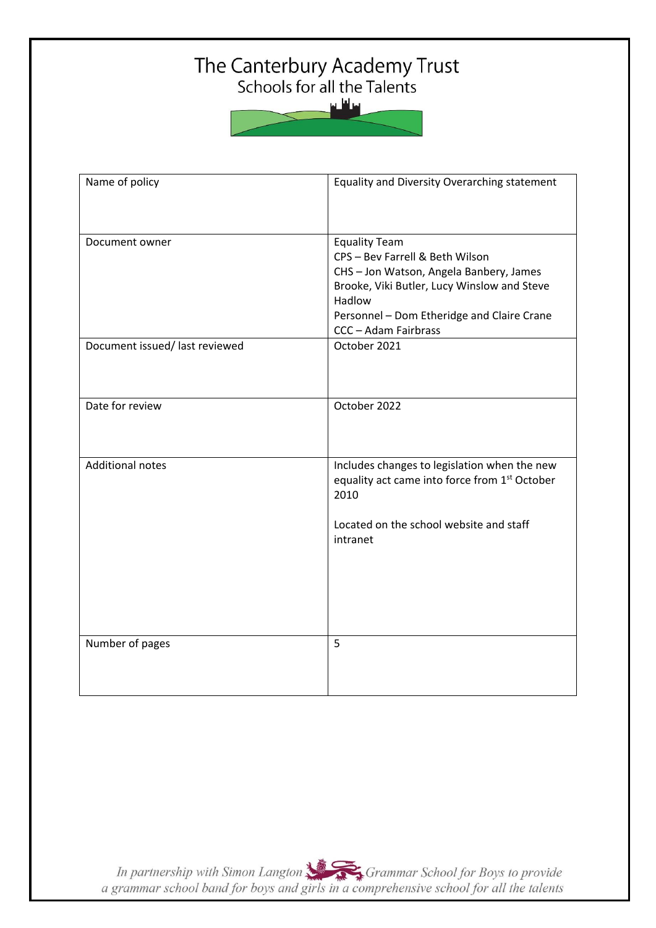# The Canterbury Academy Trust<br>Schools for all the Talents



| Name of policy                 | Equality and Diversity Overarching statement                                                                                                                                                                                    |
|--------------------------------|---------------------------------------------------------------------------------------------------------------------------------------------------------------------------------------------------------------------------------|
| Document owner                 | <b>Equality Team</b><br>CPS - Bev Farrell & Beth Wilson<br>CHS-Jon Watson, Angela Banbery, James<br>Brooke, Viki Butler, Lucy Winslow and Steve<br>Hadlow<br>Personnel - Dom Etheridge and Claire Crane<br>CCC - Adam Fairbrass |
| Document issued/ last reviewed | October 2021                                                                                                                                                                                                                    |
| Date for review                | October 2022                                                                                                                                                                                                                    |
| <b>Additional notes</b>        | Includes changes to legislation when the new<br>equality act came into force from 1st October<br>2010<br>Located on the school website and staff<br>intranet                                                                    |
| Number of pages                | 5                                                                                                                                                                                                                               |

In partnership with Simon Langton Sexting Grammar School for Boys to provide<br>a grammar school band for boys and girls in a comprehensive school for all the talents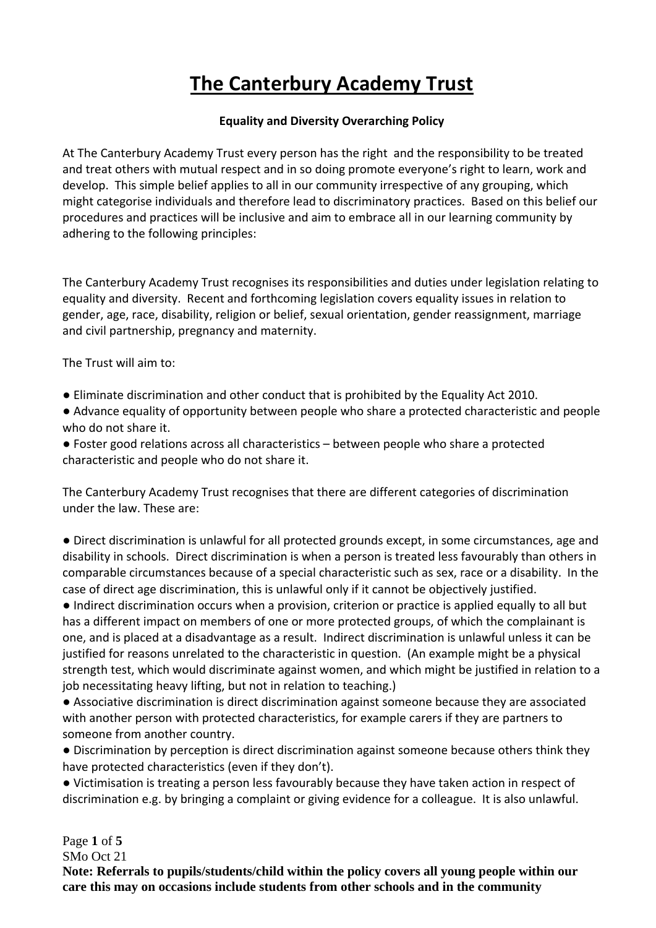## **The Canterbury Academy Trust**

#### **Equality and Diversity Overarching Policy**

At The Canterbury Academy Trust every person has the right and the responsibility to be treated and treat others with mutual respect and in so doing promote everyone's right to learn, work and develop. This simple belief applies to all in our community irrespective of any grouping, which might categorise individuals and therefore lead to discriminatory practices. Based on this belief our procedures and practices will be inclusive and aim to embrace all in our learning community by adhering to the following principles:

The Canterbury Academy Trust recognises its responsibilities and duties under legislation relating to equality and diversity. Recent and forthcoming legislation covers equality issues in relation to gender, age, race, disability, religion or belief, sexual orientation, gender reassignment, marriage and civil partnership, pregnancy and maternity.

The Trust will aim to:

● Eliminate discrimination and other conduct that is prohibited by the Equality Act 2010.

● Advance equality of opportunity between people who share a protected characteristic and people who do not share it.

● Foster good relations across all characteristics – between people who share a protected characteristic and people who do not share it.

The Canterbury Academy Trust recognises that there are different categories of discrimination under the law. These are:

● Direct discrimination is unlawful for all protected grounds except, in some circumstances, age and disability in schools. Direct discrimination is when a person is treated less favourably than others in comparable circumstances because of a special characteristic such as sex, race or a disability. In the case of direct age discrimination, this is unlawful only if it cannot be objectively justified.

● Indirect discrimination occurs when a provision, criterion or practice is applied equally to all but has a different impact on members of one or more protected groups, of which the complainant is one, and is placed at a disadvantage as a result. Indirect discrimination is unlawful unless it can be justified for reasons unrelated to the characteristic in question. (An example might be a physical strength test, which would discriminate against women, and which might be justified in relation to a job necessitating heavy lifting, but not in relation to teaching.)

● Associative discrimination is direct discrimination against someone because they are associated with another person with protected characteristics, for example carers if they are partners to someone from another country.

● Discrimination by perception is direct discrimination against someone because others think they have protected characteristics (even if they don't).

● Victimisation is treating a person less favourably because they have taken action in respect of discrimination e.g. by bringing a complaint or giving evidence for a colleague. It is also unlawful.

Page **1** of **5**

SMo Oct 21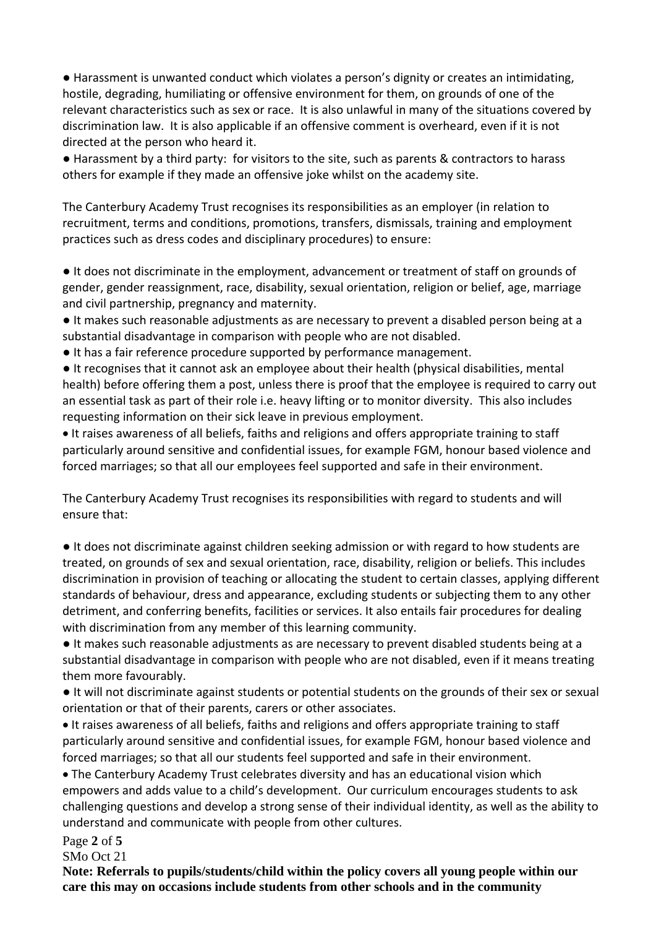● Harassment is unwanted conduct which violates a person's dignity or creates an intimidating, hostile, degrading, humiliating or offensive environment for them, on grounds of one of the relevant characteristics such as sex or race. It is also unlawful in many of the situations covered by discrimination law. It is also applicable if an offensive comment is overheard, even if it is not directed at the person who heard it.

● Harassment by a third party: for visitors to the site, such as parents & contractors to harass others for example if they made an offensive joke whilst on the academy site.

The Canterbury Academy Trust recognises its responsibilities as an employer (in relation to recruitment, terms and conditions, promotions, transfers, dismissals, training and employment practices such as dress codes and disciplinary procedures) to ensure:

● It does not discriminate in the employment, advancement or treatment of staff on grounds of gender, gender reassignment, race, disability, sexual orientation, religion or belief, age, marriage and civil partnership, pregnancy and maternity.

● It makes such reasonable adjustments as are necessary to prevent a disabled person being at a substantial disadvantage in comparison with people who are not disabled.

● It has a fair reference procedure supported by performance management.

● It recognises that it cannot ask an employee about their health (physical disabilities, mental health) before offering them a post, unless there is proof that the employee is required to carry out an essential task as part of their role i.e. heavy lifting or to monitor diversity. This also includes requesting information on their sick leave in previous employment.

• It raises awareness of all beliefs, faiths and religions and offers appropriate training to staff particularly around sensitive and confidential issues, for example FGM, honour based violence and forced marriages; so that all our employees feel supported and safe in their environment.

The Canterbury Academy Trust recognises its responsibilities with regard to students and will ensure that:

● It does not discriminate against children seeking admission or with regard to how students are treated, on grounds of sex and sexual orientation, race, disability, religion or beliefs. This includes discrimination in provision of teaching or allocating the student to certain classes, applying different standards of behaviour, dress and appearance, excluding students or subjecting them to any other detriment, and conferring benefits, facilities or services. It also entails fair procedures for dealing with discrimination from any member of this learning community.

● It makes such reasonable adjustments as are necessary to prevent disabled students being at a substantial disadvantage in comparison with people who are not disabled, even if it means treating them more favourably.

● It will not discriminate against students or potential students on the grounds of their sex or sexual orientation or that of their parents, carers or other associates.

• It raises awareness of all beliefs, faiths and religions and offers appropriate training to staff particularly around sensitive and confidential issues, for example FGM, honour based violence and forced marriages; so that all our students feel supported and safe in their environment.

• The Canterbury Academy Trust celebrates diversity and has an educational vision which empowers and adds value to a child's development. Our curriculum encourages students to ask challenging questions and develop a strong sense of their individual identity, as well as the ability to understand and communicate with people from other cultures.

#### Page **2** of **5**

SMo Oct 21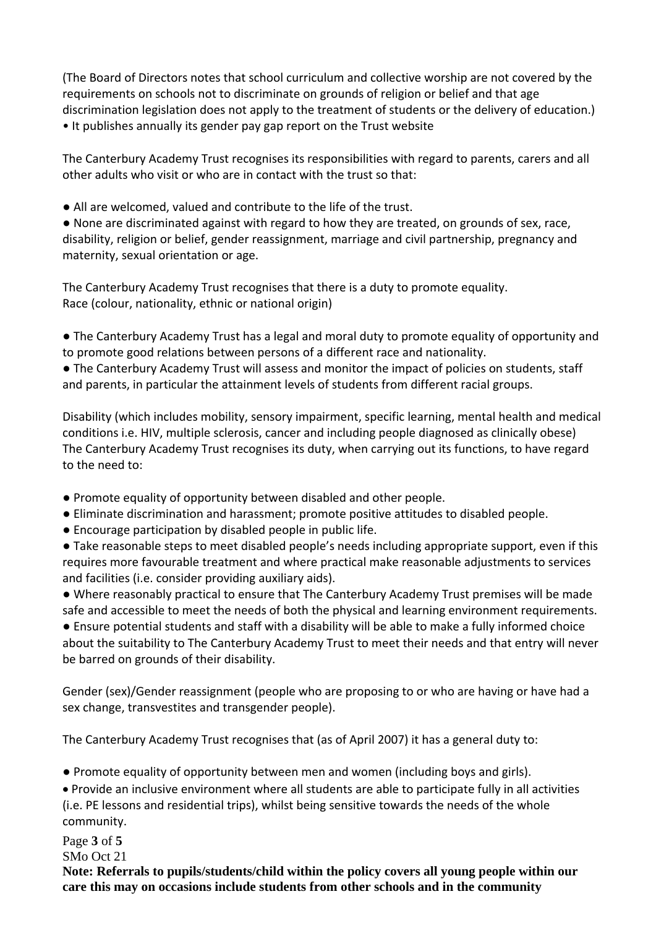(The Board of Directors notes that school curriculum and collective worship are not covered by the requirements on schools not to discriminate on grounds of religion or belief and that age discrimination legislation does not apply to the treatment of students or the delivery of education.) • It publishes annually its gender pay gap report on the Trust website

The Canterbury Academy Trust recognises its responsibilities with regard to parents, carers and all other adults who visit or who are in contact with the trust so that:

● All are welcomed, valued and contribute to the life of the trust.

● None are discriminated against with regard to how they are treated, on grounds of sex, race, disability, religion or belief, gender reassignment, marriage and civil partnership, pregnancy and maternity, sexual orientation or age.

The Canterbury Academy Trust recognises that there is a duty to promote equality. Race (colour, nationality, ethnic or national origin)

● The Canterbury Academy Trust has a legal and moral duty to promote equality of opportunity and to promote good relations between persons of a different race and nationality.

● The Canterbury Academy Trust will assess and monitor the impact of policies on students, staff and parents, in particular the attainment levels of students from different racial groups.

Disability (which includes mobility, sensory impairment, specific learning, mental health and medical conditions i.e. HIV, multiple sclerosis, cancer and including people diagnosed as clinically obese) The Canterbury Academy Trust recognises its duty, when carrying out its functions, to have regard to the need to:

- Promote equality of opportunity between disabled and other people.
- Eliminate discrimination and harassment; promote positive attitudes to disabled people.
- Encourage participation by disabled people in public life.

● Take reasonable steps to meet disabled people's needs including appropriate support, even if this requires more favourable treatment and where practical make reasonable adjustments to services and facilities (i.e. consider providing auxiliary aids).

● Where reasonably practical to ensure that The Canterbury Academy Trust premises will be made safe and accessible to meet the needs of both the physical and learning environment requirements.

● Ensure potential students and staff with a disability will be able to make a fully informed choice about the suitability to The Canterbury Academy Trust to meet their needs and that entry will never be barred on grounds of their disability.

Gender (sex)/Gender reassignment (people who are proposing to or who are having or have had a sex change, transvestites and transgender people).

The Canterbury Academy Trust recognises that (as of April 2007) it has a general duty to:

● Promote equality of opportunity between men and women (including boys and girls).

• Provide an inclusive environment where all students are able to participate fully in all activities (i.e. PE lessons and residential trips), whilst being sensitive towards the needs of the whole community.

Page **3** of **5**

SMo Oct 21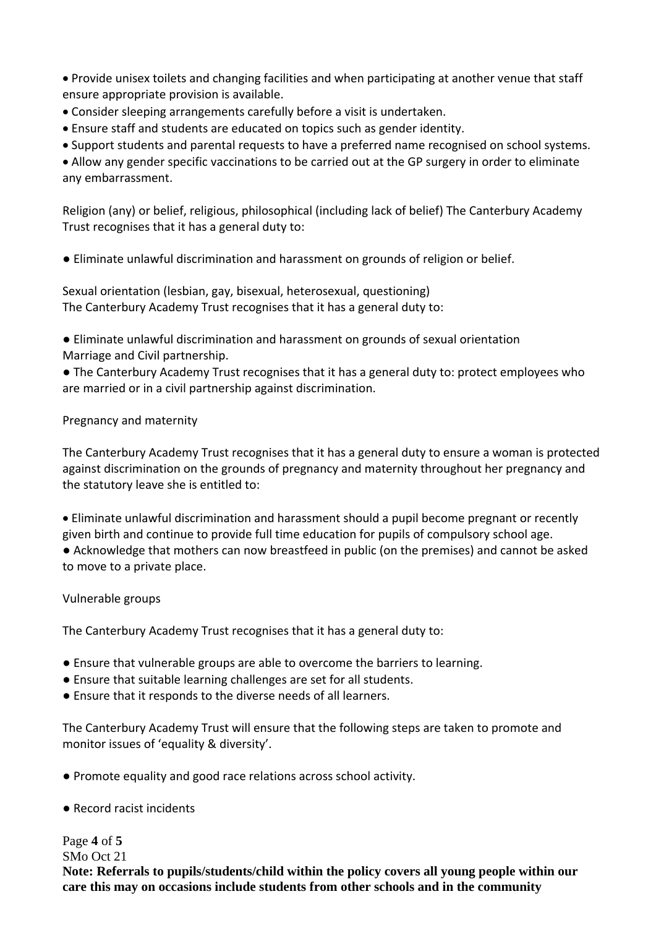• Provide unisex toilets and changing facilities and when participating at another venue that staff ensure appropriate provision is available.

- Consider sleeping arrangements carefully before a visit is undertaken.
- Ensure staff and students are educated on topics such as gender identity.
- Support students and parental requests to have a preferred name recognised on school systems.

• Allow any gender specific vaccinations to be carried out at the GP surgery in order to eliminate any embarrassment.

Religion (any) or belief, religious, philosophical (including lack of belief) The Canterbury Academy Trust recognises that it has a general duty to:

● Eliminate unlawful discrimination and harassment on grounds of religion or belief.

Sexual orientation (lesbian, gay, bisexual, heterosexual, questioning) The Canterbury Academy Trust recognises that it has a general duty to:

● Eliminate unlawful discrimination and harassment on grounds of sexual orientation Marriage and Civil partnership.

● The Canterbury Academy Trust recognises that it has a general duty to: protect employees who are married or in a civil partnership against discrimination.

#### Pregnancy and maternity

The Canterbury Academy Trust recognises that it has a general duty to ensure a woman is protected against discrimination on the grounds of pregnancy and maternity throughout her pregnancy and the statutory leave she is entitled to:

• Eliminate unlawful discrimination and harassment should a pupil become pregnant or recently given birth and continue to provide full time education for pupils of compulsory school age. ● Acknowledge that mothers can now breastfeed in public (on the premises) and cannot be asked to move to a private place.

#### Vulnerable groups

The Canterbury Academy Trust recognises that it has a general duty to:

- Ensure that vulnerable groups are able to overcome the barriers to learning.
- Ensure that suitable learning challenges are set for all students.
- Ensure that it responds to the diverse needs of all learners.

The Canterbury Academy Trust will ensure that the following steps are taken to promote and monitor issues of 'equality & diversity'.

- Promote equality and good race relations across school activity.
- Record racist incidents

Page **4** of **5** SMo Oct 21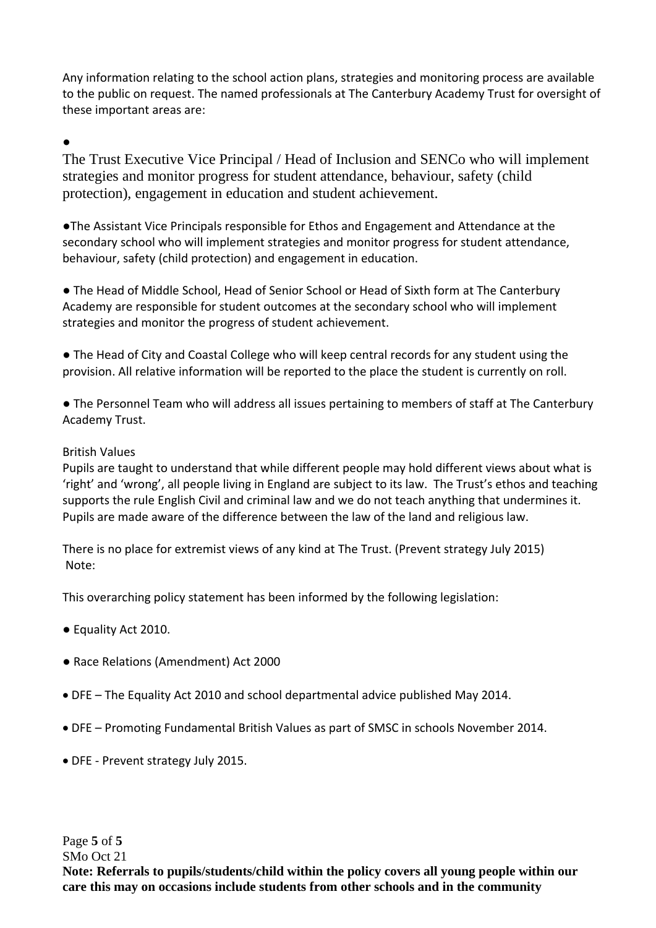Any information relating to the school action plans, strategies and monitoring process are available to the public on request. The named professionals at The Canterbury Academy Trust for oversight of these important areas are:

●

The Trust Executive Vice Principal / Head of Inclusion and SENCo who will implement strategies and monitor progress for student attendance, behaviour, safety (child protection), engagement in education and student achievement.

●The Assistant Vice Principals responsible for Ethos and Engagement and Attendance at the secondary school who will implement strategies and monitor progress for student attendance, behaviour, safety (child protection) and engagement in education.

● The Head of Middle School, Head of Senior School or Head of Sixth form at The Canterbury Academy are responsible for student outcomes at the secondary school who will implement strategies and monitor the progress of student achievement.

● The Head of City and Coastal College who will keep central records for any student using the provision. All relative information will be reported to the place the student is currently on roll.

● The Personnel Team who will address all issues pertaining to members of staff at The Canterbury Academy Trust.

#### British Values

Pupils are taught to understand that while different people may hold different views about what is 'right' and 'wrong', all people living in England are subject to its law. The Trust's ethos and teaching supports the rule English Civil and criminal law and we do not teach anything that undermines it. Pupils are made aware of the difference between the law of the land and religious law.

There is no place for extremist views of any kind at The Trust. (Prevent strategy July 2015) Note:

This overarching policy statement has been informed by the following legislation:

- Equality Act 2010.
- Race Relations (Amendment) Act 2000
- DFE The Equality Act 2010 and school departmental advice published May 2014.
- DFE Promoting Fundamental British Values as part of SMSC in schools November 2014.
- DFE Prevent strategy July 2015.